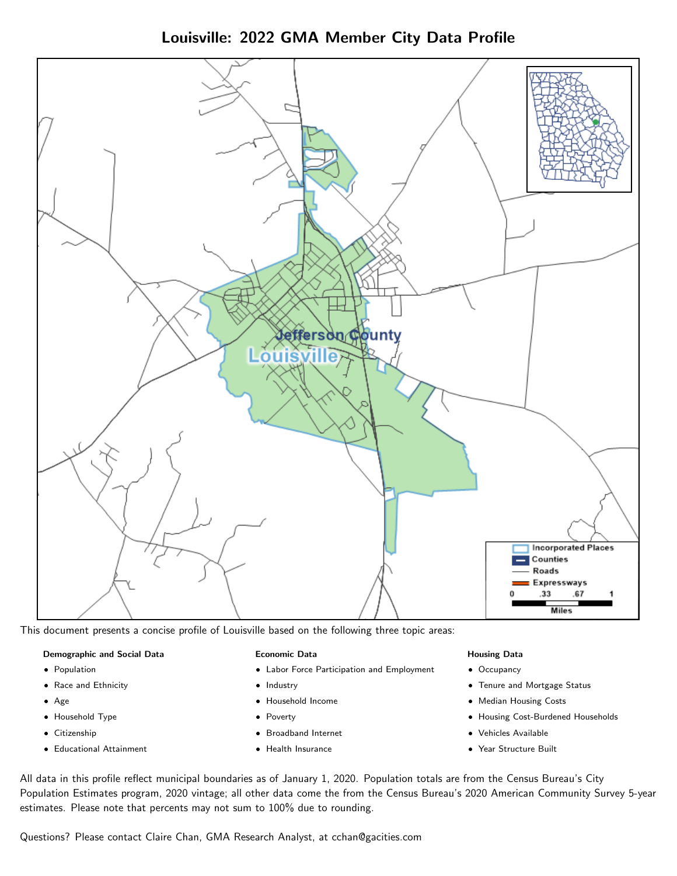Louisville: 2022 GMA Member City Data Profile



This document presents a concise profile of Louisville based on the following three topic areas:

#### Demographic and Social Data

- **•** Population
- Race and Ethnicity
- Age
- Household Type
- **Citizenship**
- Educational Attainment

#### Economic Data

- Labor Force Participation and Employment
- Industry
- Household Income
- Poverty
- Broadband Internet
- Health Insurance

#### Housing Data

- Occupancy
- Tenure and Mortgage Status
- Median Housing Costs
- Housing Cost-Burdened Households
- Vehicles Available
- Year Structure Built

All data in this profile reflect municipal boundaries as of January 1, 2020. Population totals are from the Census Bureau's City Population Estimates program, 2020 vintage; all other data come the from the Census Bureau's 2020 American Community Survey 5-year estimates. Please note that percents may not sum to 100% due to rounding.

Questions? Please contact Claire Chan, GMA Research Analyst, at [cchan@gacities.com.](mailto:cchan@gacities.com)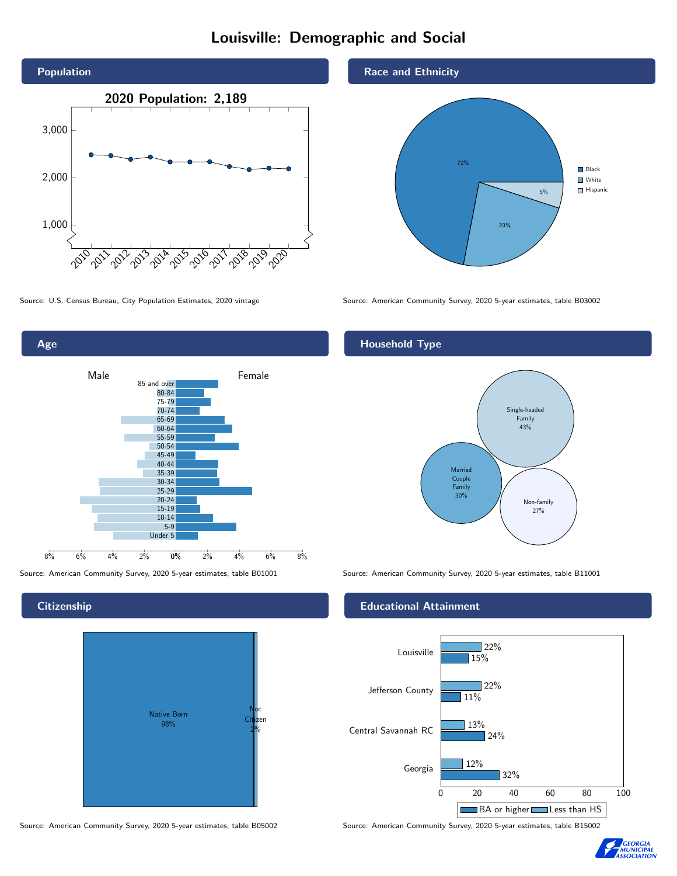# Louisville: Demographic and Social





**Citizenship** 



Source: American Community Survey, 2020 5-year estimates, table B05002 Source: American Community Survey, 2020 5-year estimates, table B15002



Source: U.S. Census Bureau, City Population Estimates, 2020 vintage Source: American Community Survey, 2020 5-year estimates, table B03002

# Household Type



Source: American Community Survey, 2020 5-year estimates, table B01001 Source: American Community Survey, 2020 5-year estimates, table B11001

#### Educational Attainment



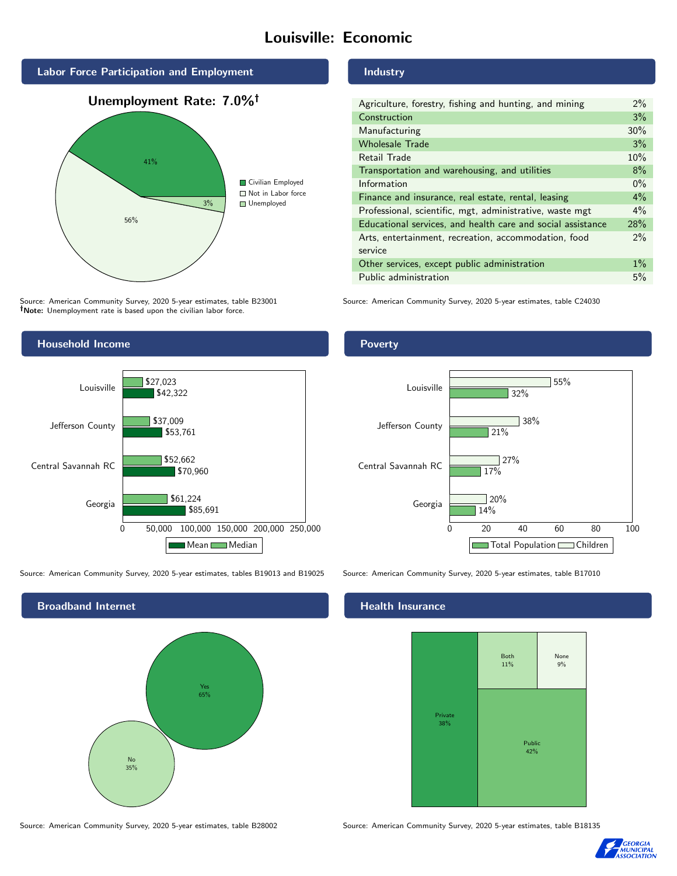# Louisville: Economic



Source: American Community Survey, 2020 5-year estimates, table B23001 Note: Unemployment rate is based upon the civilian labor force.

### Industry

| Agriculture, forestry, fishing and hunting, and mining      | $2\%$ |
|-------------------------------------------------------------|-------|
| Construction                                                | 3%    |
| Manufacturing                                               | 30%   |
| <b>Wholesale Trade</b>                                      | 3%    |
| Retail Trade                                                | 10%   |
| Transportation and warehousing, and utilities               | 8%    |
| Information                                                 | $0\%$ |
| Finance and insurance, real estate, rental, leasing         | $4\%$ |
| Professional, scientific, mgt, administrative, waste mgt    | $4\%$ |
| Educational services, and health care and social assistance | 28%   |
| Arts, entertainment, recreation, accommodation, food        | 2%    |
| service                                                     |       |
| Other services, except public administration                | $1\%$ |
| Public administration                                       | 5%    |

Source: American Community Survey, 2020 5-year estimates, table C24030



Source: American Community Survey, 2020 5-year estimates, tables B19013 and B19025 Source: American Community Survey, 2020 5-year estimates, table B17010

Broadband Internet No 35% Yes 65%

### Health Insurance



Source: American Community Survey, 2020 5-year estimates, table B28002 Source: American Community Survey, 2020 5-year estimates, table B18135



## Poverty